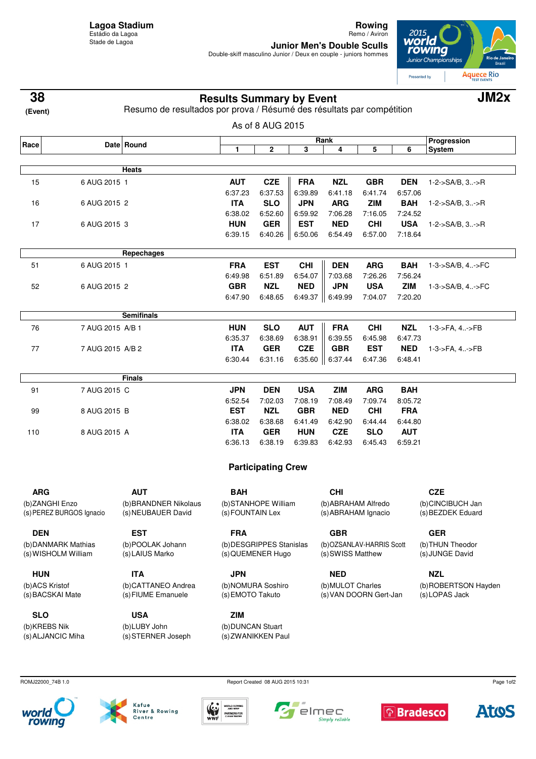**Rowing** Remo / Aviron

**Junior Men's Double Sculls**<br>Double-skiff masculino Junior / Deux en couple - juniors hommes



| 38                                 | <b>Results Summary by Event</b><br>Resumo de resultados por prova / Résumé des résultats par compétition |                                          |                                       |                           |            |                                             |            | JM <sub>2</sub> x |                                       |  |
|------------------------------------|----------------------------------------------------------------------------------------------------------|------------------------------------------|---------------------------------------|---------------------------|------------|---------------------------------------------|------------|-------------------|---------------------------------------|--|
| (Event)                            |                                                                                                          |                                          |                                       |                           |            |                                             |            |                   |                                       |  |
|                                    | As of 8 AUG 2015<br>Rank                                                                                 |                                          |                                       |                           |            |                                             |            |                   |                                       |  |
| Race                               |                                                                                                          | Date Round                               | 1                                     | 2                         | 3          | 4                                           | 5          | 6                 | Progression<br><b>System</b>          |  |
|                                    |                                                                                                          | Heats                                    |                                       |                           |            |                                             |            |                   |                                       |  |
| 15                                 | 6 AUG 2015 1                                                                                             |                                          | <b>AUT</b>                            | <b>CZE</b>                | <b>FRA</b> | <b>NZL</b>                                  | <b>GBR</b> | <b>DEN</b>        | $1 - 2 - S A/B$ , $3 - S R$           |  |
|                                    |                                                                                                          |                                          | 6:37.23                               | 6:37.53                   | 6:39.89    | 6:41.18                                     | 6:41.74    | 6:57.06           |                                       |  |
| 16                                 | 6 AUG 2015 2                                                                                             |                                          | <b>ITA</b>                            | <b>SLO</b>                | <b>JPN</b> | <b>ARG</b>                                  | <b>ZIM</b> | <b>BAH</b>        | 1-2->SA/B, 3->R                       |  |
|                                    |                                                                                                          |                                          | 6:38.02                               | 6:52.60                   | 6:59.92    | 7:06.28                                     | 7:16.05    | 7:24.52           |                                       |  |
| 17                                 | 6 AUG 2015 3                                                                                             |                                          | <b>HUN</b>                            | <b>GER</b>                | <b>EST</b> | <b>NED</b>                                  | <b>CHI</b> | <b>USA</b>        | 1-2->SA/B, 3->R                       |  |
|                                    |                                                                                                          |                                          | 6:39.15                               | 6:40.26                   | 6:50.06    | 6:54.49                                     | 6:57.00    | 7:18.64           |                                       |  |
|                                    |                                                                                                          | Repechages                               |                                       |                           |            |                                             |            |                   |                                       |  |
| 51                                 | 6 AUG 2015 1                                                                                             |                                          | <b>FRA</b>                            | <b>EST</b>                | <b>CHI</b> | <b>DEN</b>                                  | <b>ARG</b> | <b>BAH</b>        | 1-3->SA/B, 4->FC                      |  |
|                                    |                                                                                                          |                                          | 6:49.98                               | 6:51.89                   | 6:54.07    | 7:03.68                                     | 7:26.26    | 7:56.24           |                                       |  |
| 52                                 | 6 AUG 2015 2                                                                                             |                                          | <b>GBR</b>                            | <b>NZL</b>                | <b>NED</b> | <b>JPN</b>                                  | <b>USA</b> | <b>ZIM</b>        | 1-3->SA/B, 4->FC                      |  |
|                                    |                                                                                                          |                                          | 6:47.90                               | 6:48.65                   | 6:49.37    | 6:49.99                                     | 7:04.07    | 7:20.20           |                                       |  |
|                                    |                                                                                                          | <b>Semifinals</b>                        |                                       |                           |            |                                             |            |                   |                                       |  |
| 76                                 | 7 AUG 2015 A/B 1                                                                                         |                                          | <b>HUN</b>                            | <b>SLO</b>                | <b>AUT</b> | <b>FRA</b>                                  | <b>CHI</b> | <b>NZL</b>        | 1-3->FA, 4->FB                        |  |
|                                    |                                                                                                          |                                          | 6:35.37                               | 6:38.69                   | 6:38.91    | 6:39.55                                     | 6:45.98    | 6:47.73           |                                       |  |
| 77                                 | 7 AUG 2015 A/B 2                                                                                         |                                          | <b>ITA</b>                            | <b>GER</b>                | <b>CZE</b> | <b>GBR</b>                                  | <b>EST</b> | <b>NED</b>        | 1-3->FA, 4->FB                        |  |
|                                    |                                                                                                          |                                          | 6:30.44                               | 6:31.16                   |            | 6:35.60 $\ $ 6:37.44                        | 6:47.36    | 6:48.41           |                                       |  |
|                                    |                                                                                                          | Finals                                   |                                       |                           |            |                                             |            |                   |                                       |  |
| 91                                 | 7 AUG 2015 C                                                                                             |                                          | <b>JPN</b>                            | <b>DEN</b>                | <b>USA</b> | <b>ZIM</b>                                  | <b>ARG</b> | <b>BAH</b>        |                                       |  |
|                                    |                                                                                                          |                                          | 6:52.54                               | 7:02.03                   | 7:08.19    | 7:08.49                                     | 7:09.74    | 8:05.72           |                                       |  |
| 99                                 | 8 AUG 2015 B                                                                                             |                                          | <b>EST</b>                            | <b>NZL</b>                | <b>GBR</b> | <b>NED</b>                                  | <b>CHI</b> | <b>FRA</b>        |                                       |  |
| 110                                |                                                                                                          |                                          | 6:38.02                               | 6:38.68                   | 6:41.49    | 6:42.90                                     | 6:44.44    | 6:44.80           |                                       |  |
|                                    | 8 AUG 2015 A                                                                                             |                                          | <b>ITA</b>                            | <b>GER</b>                | <b>HUN</b> | <b>CZE</b>                                  | <b>SLO</b> | <b>AUT</b>        |                                       |  |
|                                    |                                                                                                          |                                          | 6:36.13                               | 6:38.19                   | 6:39.83    | 6:42.93                                     | 6:45.43    | 6:59.21           |                                       |  |
|                                    |                                                                                                          |                                          |                                       | <b>Participating Crew</b> |            |                                             |            |                   |                                       |  |
| ARG.                               |                                                                                                          | <b>AUT</b>                               | <b>BAH</b>                            |                           |            | <b>CHI</b>                                  |            |                   | <b>CZE</b>                            |  |
| (b)ZANGHI Enzo                     |                                                                                                          | (b) BRANDNER Nikolaus                    | (b)STANHOPE William                   |                           |            | (b) ABRAHAM Alfredo                         |            |                   | (b)CINCIBUCH Jan                      |  |
| (s) PEREZ BURGOS Ignacio           |                                                                                                          | (s) NEUBAUER David                       | (s) FOUNTAIN Lex                      |                           |            | (s) ABRAHAM Ignacio                         |            |                   | (s) BEZDEK Eduard                     |  |
| <b>DEN</b>                         |                                                                                                          | <b>EST</b>                               | <b>FRA</b>                            |                           |            | <b>GBR</b>                                  |            |                   | <b>GER</b>                            |  |
| (b) DANMARK Mathias                |                                                                                                          | (b)POOLAK Johann                         | (b) DESGRIPPES Stanislas              |                           |            | (b)OZSANLAV-HARRIS Scott                    |            |                   | (b) THUN Theodor                      |  |
| (s) WISHOLM William                |                                                                                                          | (s) LAIUS Marko                          | (s) QUEMENER Hugo                     |                           |            | (s) SWISS Matthew                           |            |                   | (s) JUNGE David                       |  |
| <b>HUN</b>                         |                                                                                                          | <b>ITA</b>                               | <b>JPN</b>                            |                           |            | <b>NED</b>                                  |            |                   | <b>NZL</b>                            |  |
| (b)ACS Kristof<br>(s) BACSKAI Mate |                                                                                                          | (b)CATTANEO Andrea<br>(s) FIUME Emanuele | (b)NOMURA Soshiro<br>(s) EMOTO Takuto |                           |            | (b) MULOT Charles<br>(s) VAN DOORN Gert-Jan |            |                   | (b)ROBERTSON Hayden<br>(s) LOPAS Jack |  |
| <b>SLO</b>                         |                                                                                                          | <b>USA</b>                               | <b>ZIM</b>                            |                           |            |                                             |            |                   |                                       |  |
| (b)KREBS Nik<br>(s) ALJANCIC Miha  |                                                                                                          | (b)LUBY John<br>(s) STERNER Joseph       | (b) DUNCAN Stuart                     | (s) ZWANIKKEN Paul        |            |                                             |            |                   |                                       |  |

ROMJ22000\_74B 1.0 Report Created 08 AUG 2015 10:31







 $\blacksquare$ 







Page 1of2